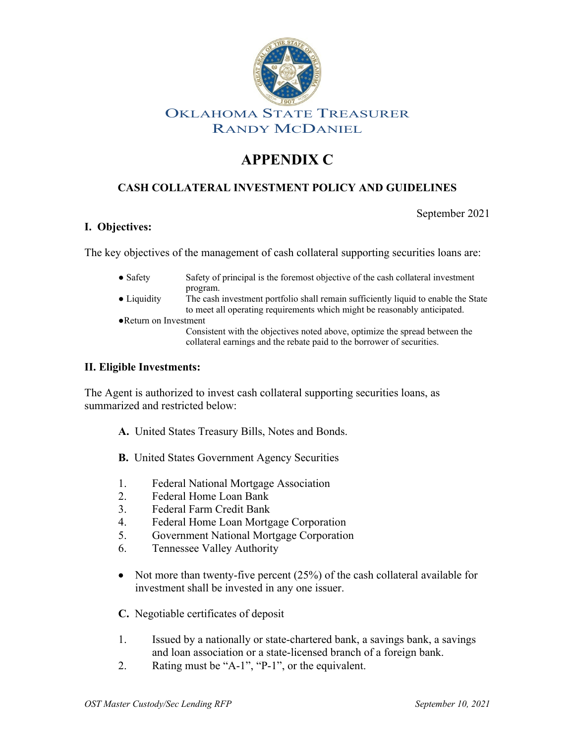

## OKLAHOMA STATE TREASURER RANDY MCDANIEL

# **APPENDIX C**

### **CASH COLLATERAL INVESTMENT POLICY AND GUIDELINES**

September 2021

#### **I. Objectives:**

The key objectives of the management of cash collateral supporting securities loans are:

- Safety Safety of principal is the foremost objective of the cash collateral investment program.
- Liquidity The cash investment portfolio shall remain sufficiently liquid to enable the State to meet all operating requirements which might be reasonably anticipated.
- ●Return on Investment

Consistent with the objectives noted above, optimize the spread between the collateral earnings and the rebate paid to the borrower of securities.

#### **II. Eligible Investments:**

The Agent is authorized to invest cash collateral supporting securities loans, as summarized and restricted below:

- **A.** United States Treasury Bills, Notes and Bonds.
- **B.** United States Government Agency Securities
- 1. Federal National Mortgage Association
- 2. Federal Home Loan Bank
- 3. Federal Farm Credit Bank
- 4. Federal Home Loan Mortgage Corporation
- 5. Government National Mortgage Corporation
- 6. Tennessee Valley Authority
- Not more than twenty-five percent (25%) of the cash collateral available for investment shall be invested in any one issuer.
- **C.** Negotiable certificates of deposit
- 1. Issued by a nationally or state-chartered bank, a savings bank, a savings and loan association or a state-licensed branch of a foreign bank.
- 2. Rating must be "A-1", "P-1", or the equivalent.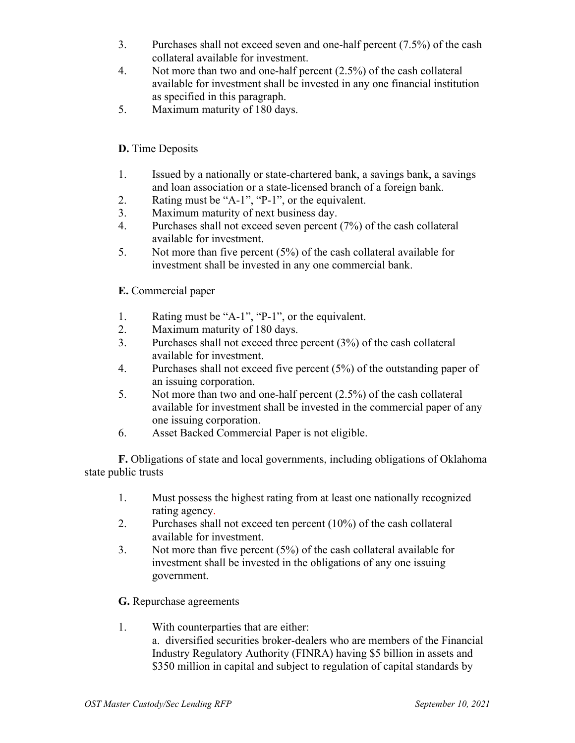- 3. Purchases shall not exceed seven and one-half percent (7.5%) of the cash collateral available for investment.
- 4. Not more than two and one-half percent (2.5%) of the cash collateral available for investment shall be invested in any one financial institution as specified in this paragraph.
- 5. Maximum maturity of 180 days.

#### **D.** Time Deposits

- 1. Issued by a nationally or state-chartered bank, a savings bank, a savings and loan association or a state-licensed branch of a foreign bank.
- 2. Rating must be "A-1", "P-1", or the equivalent.
- 3. Maximum maturity of next business day.
- 4. Purchases shall not exceed seven percent (7%) of the cash collateral available for investment.
- 5. Not more than five percent  $(5\%)$  of the cash collateral available for investment shall be invested in any one commercial bank.

#### **E.** Commercial paper

- 1. Rating must be "A-1", "P-1", or the equivalent.
- 2. Maximum maturity of 180 days.
- 3. Purchases shall not exceed three percent (3%) of the cash collateral available for investment.
- 4. Purchases shall not exceed five percent (5%) of the outstanding paper of an issuing corporation.
- 5. Not more than two and one-half percent (2.5%) of the cash collateral available for investment shall be invested in the commercial paper of any one issuing corporation.
- 6. Asset Backed Commercial Paper is not eligible.

**F.** Obligations of state and local governments, including obligations of Oklahoma state public trusts

- 1. Must possess the highest rating from at least one nationally recognized rating agency.
- 2. Purchases shall not exceed ten percent (10%) of the cash collateral available for investment.
- 3. Not more than five percent (5%) of the cash collateral available for investment shall be invested in the obligations of any one issuing government.

#### **G.** Repurchase agreements

1. With counterparties that are either: a. diversified securities broker-dealers who are members of the Financial Industry Regulatory Authority (FINRA) having \$5 billion in assets and \$350 million in capital and subject to regulation of capital standards by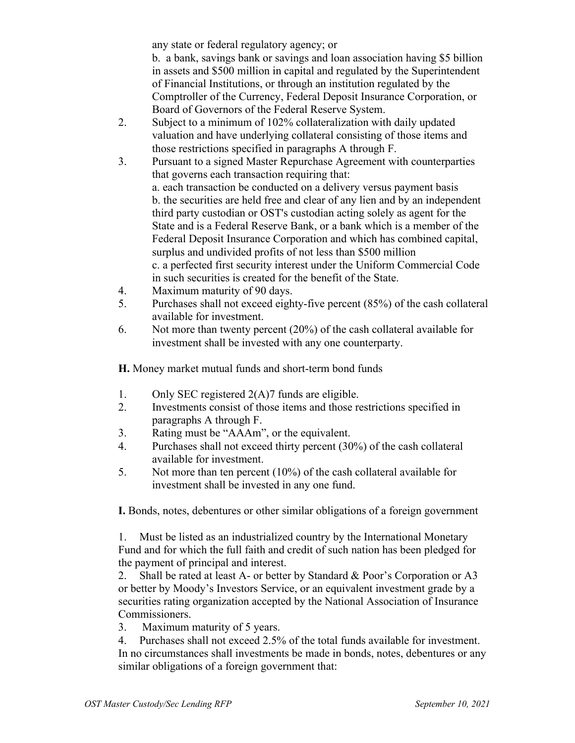any state or federal regulatory agency; or

b. a bank, savings bank or savings and loan association having \$5 billion in assets and \$500 million in capital and regulated by the Superintendent of Financial Institutions, or through an institution regulated by the Comptroller of the Currency, Federal Deposit Insurance Corporation, or Board of Governors of the Federal Reserve System.

- 2. Subject to a minimum of 102% collateralization with daily updated valuation and have underlying collateral consisting of those items and those restrictions specified in paragraphs A through F.
- 3. Pursuant to a signed Master Repurchase Agreement with counterparties that governs each transaction requiring that: a. each transaction be conducted on a delivery versus payment basis b. the securities are held free and clear of any lien and by an independent third party custodian or OST's custodian acting solely as agent for the State and is a Federal Reserve Bank, or a bank which is a member of the Federal Deposit Insurance Corporation and which has combined capital, surplus and undivided profits of not less than \$500 million c. a perfected first security interest under the Uniform Commercial Code in such securities is created for the benefit of the State.
- 4. Maximum maturity of 90 days.
- 5. Purchases shall not exceed eighty-five percent (85%) of the cash collateral available for investment.
- 6. Not more than twenty percent (20%) of the cash collateral available for investment shall be invested with any one counterparty.

**H.** Money market mutual funds and short-term bond funds

- 1. Only SEC registered 2(A)7 funds are eligible.
- 2. Investments consist of those items and those restrictions specified in paragraphs A through F.
- 3. Rating must be "AAAm", or the equivalent.
- 4. Purchases shall not exceed thirty percent (30%) of the cash collateral available for investment.
- 5. Not more than ten percent (10%) of the cash collateral available for investment shall be invested in any one fund.

**I.** Bonds, notes, debentures or other similar obligations of a foreign government

1. Must be listed as an industrialized country by the International Monetary Fund and for which the full faith and credit of such nation has been pledged for the payment of principal and interest.

2. Shall be rated at least A- or better by Standard & Poor's Corporation or A3 or better by Moody's Investors Service, or an equivalent investment grade by a securities rating organization accepted by the National Association of Insurance Commissioners.

3. Maximum maturity of 5 years.

4. Purchases shall not exceed 2.5% of the total funds available for investment. In no circumstances shall investments be made in bonds, notes, debentures or any similar obligations of a foreign government that: